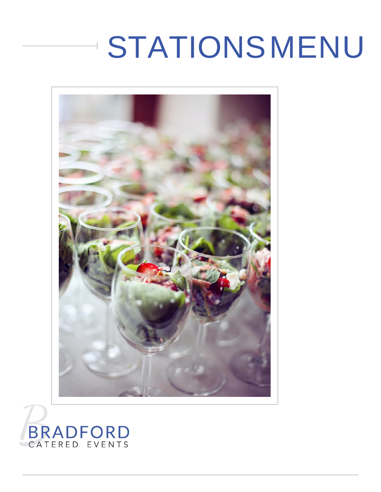## **STATIONSMENU**



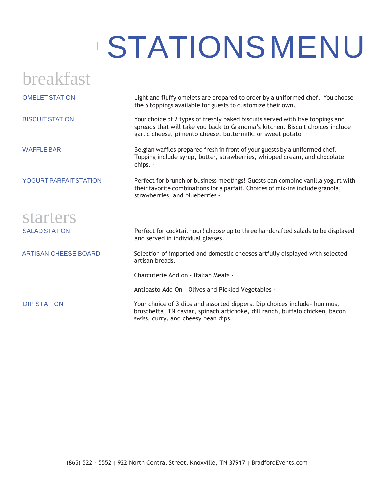## STATIONSMENU

| breakfast                     |                                                                                                                                                                                                                               |
|-------------------------------|-------------------------------------------------------------------------------------------------------------------------------------------------------------------------------------------------------------------------------|
| <b>OMELET STATION</b>         | Light and fluffy omelets are prepared to order by a uniformed chef. You choose<br>the 5 toppings available for guests to customize their own.                                                                                 |
| <b>BISCUIT STATION</b>        | Your choice of 2 types of freshly baked biscuits served with five toppings and<br>spreads that will take you back to Grandma's kitchen. Biscuit choices include<br>garlic cheese, pimento cheese, buttermilk, or sweet potato |
| <b>WAFFLE BAR</b>             | Belgian waffles prepared fresh in front of your guests by a uniformed chef.<br>Topping include syrup, butter, strawberries, whipped cream, and chocolate<br>chips. -                                                          |
| <b>YOGURT PARFAIT STATION</b> | Perfect for brunch or business meetings! Guests can combine vanilla yogurt with<br>their favorite combinations for a parfait. Choices of mix-ins include granola,<br>strawberries, and blueberries -                          |
| starters                      |                                                                                                                                                                                                                               |
| <b>SALAD STATION</b>          | Perfect for cocktail hour! choose up to three handcrafted salads to be displayed<br>and served in individual glasses.                                                                                                         |
| <b>ARTISAN CHEESE BOARD</b>   | Selection of imported and domestic cheeses artfully displayed with selected<br>artisan breads.                                                                                                                                |
|                               | Charcuterie Add on - Italian Meats -                                                                                                                                                                                          |
|                               | Antipasto Add On - Olives and Pickled Vegetables -                                                                                                                                                                            |
| <b>DIP STATION</b>            | Your choice of 3 dips and assorted dippers. Dip choices include - hummus,<br>bruschetta, TN caviar, spinach artichoke, dill ranch, buffalo chicken, bacon<br>swiss, curry, and cheesy bean dips.                              |